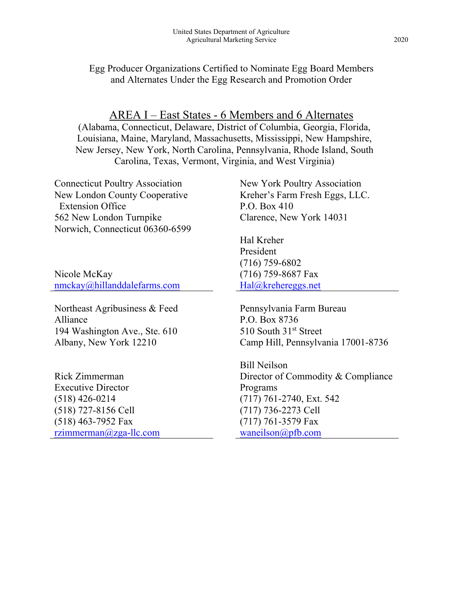Egg Producer Organizations Certified to Nominate Egg Board Members and Alternates Under the Egg Research and Promotion Order

AREA I – East States - 6 Members and 6 Alternates

(Alabama, Connecticut, Delaware, District of Columbia, Georgia, Florida, Louisiana, Maine, Maryland, Massachusetts, Mississippi, New Hampshire, New Jersey, New York, North Carolina, Pennsylvania, Rhode Island, South Carolina, Texas, Vermont, Virginia, and West Virginia)

Connecticut Poultry Association New London County Cooperative Extension Office 562 New London Turnpike Norwich, Connecticut 06360-6599

Nicole McKay [nmckay@hillanddalefarms.com](mailto:Michael.Darre@uconn.edu)

Northeast Agribusiness & Feed Alliance 194 Washington Ave., Ste. 610 Albany, New York 12210

Rick Zimmerman Executive Director (518) 426-0214 (518) 727-8156 Cell (518) 463-7952 Fax [rzimmerman@zga-llc.com](mailto:rzimmerman@zga-llc.com) New York Poultry Association Kreher's Farm Fresh Eggs, LLC. P.O. Box 410 Clarence, New York 14031

Hal Kreher President (716) 759-6802 (716) 759-8687 Fax [Hal@krehereggs.net](mailto:Hal@krehereggs.net)

Pennsylvania Farm Bureau P.O. Box 8736 510 South 31<sup>st</sup> Street Camp Hill, Pennsylvania 17001-8736

Bill Neilson Director of Commodity & Compliance Programs (717) 761-2740, Ext. 542 (717) 736-2273 Cell (717) 761-3579 Fax [waneilson@pfb.com](mailto:waneilson@pfb.com)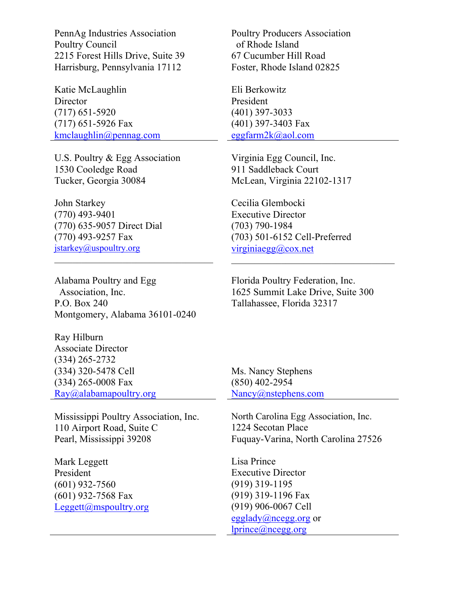PennAg Industries Association Poultry Council 2215 Forest Hills Drive, Suite 39 Harrisburg, Pennsylvania 17112

Katie McLaughlin **Director** (717) 651-5920 (717) 651-5926 Fax [kmclaughlin@pennag.com](mailto:kmclaughlin@pennag.com)

U.S. Poultry & Egg Association 1530 Cooledge Road Tucker, Georgia 30084

John Starkey (770) 493-9401 (770) 635-9057 Direct Dial (770) 493-9257 Fax [jstarkey@uspoultry.org](mailto:jstarkey@uspoultry.org)

Alabama Poultry and Egg Association, Inc. P.O. Box 240 Montgomery, Alabama 36101-0240

Ray Hilburn Associate Director (334) 265-2732 (334) 320-5478 Cell (334) 265-0008 Fax [Ray@alabamapoultry.org](mailto:Ray@alabamapoultry.org)

Mississippi Poultry Association, Inc. 110 Airport Road, Suite C Pearl, Mississippi 39208

Mark Leggett President (601) 932-7560 (601) 932-7568 Fax [Leggett@mspoultry.org](mailto:Leggett@mspoultry.org) Poultry Producers Association of Rhode Island 67 Cucumber Hill Road Foster, Rhode Island 02825

Eli Berkowitz President (401) 397-3033 (401) 397-3403 Fax [eggfarm2k@aol.com](mailto:eggfarm2k@aol.com)

Virginia Egg Council, Inc. 911 Saddleback Court McLean, Virginia 22102-1317

Cecilia Glembocki Executive Director (703) 790-1984 (703) 501-6152 Cell-Preferred [virginiaegg@cox.net](mailto:virginiaegg@cox.net)

Florida Poultry Federation, Inc. 1625 Summit Lake Drive, Suite 300 Tallahassee, Florida 32317

 $\mathcal{L}_\mathcal{L}$ 

Ms. Nancy Stephens (850) 402-2954 [Nancy@nstephens.com](mailto:Nancy@nstephens.com)

North Carolina Egg Association, Inc. 1224 Secotan Place Fuquay-Varina, North Carolina 27526

Lisa Prince Executive Director (919) 319-1195 (919) 319-1196 Fax (919) 906-0067 Cell [egglady@ncegg.org](mailto:egglady@ncegg.org) or [lprince@ncegg.org](mailto:lprince@ncegg.org)